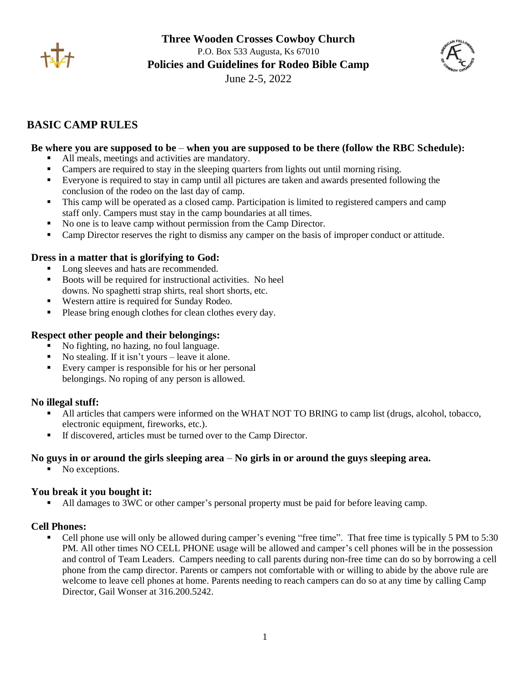



# **BASIC CAMP RULES**

### **Be where you are supposed to be** – **when you are supposed to be there (follow the RBC Schedule):**

- All meals, meetings and activities are mandatory.
- Campers are required to stay in the sleeping quarters from lights out until morning rising.
- Everyone is required to stay in camp until all pictures are taken and awards presented following the conclusion of the rodeo on the last day of camp.
- This camp will be operated as a closed camp. Participation is limited to registered campers and camp staff only. Campers must stay in the camp boundaries at all times.
- No one is to leave camp without permission from the Camp Director.
- Camp Director reserves the right to dismiss any camper on the basis of improper conduct or attitude.

#### **Dress in a matter that is glorifying to God:**

- Long sleeves and hats are recommended.
- Boots will be required for instructional activities. No heel downs. No spaghetti strap shirts, real short shorts, etc.
- Western attire is required for Sunday Rodeo.
- Please bring enough clothes for clean clothes every day.

#### **Respect other people and their belongings:**

- No fighting, no hazing, no foul language.
- No stealing. If it isn't yours leave it alone.
- Every camper is responsible for his or her personal belongings. No roping of any person is allowed.

#### **No illegal stuff:**

- All articles that campers were informed on the WHAT NOT TO BRING to camp list (drugs, alcohol, tobacco, electronic equipment, fireworks, etc.).
- If discovered, articles must be turned over to the Camp Director.

#### **No guys in or around the girls sleeping area** – **No girls in or around the guys sleeping area.**

■ No exceptions.

## **You break it you bought it:**

■ All damages to 3WC or other camper's personal property must be paid for before leaving camp.

#### **Cell Phones:**

Cell phone use will only be allowed during camper's evening "free time". That free time is typically 5 PM to 5:30 PM. All other times NO CELL PHONE usage will be allowed and camper's cell phones will be in the possession and control of Team Leaders. Campers needing to call parents during non-free time can do so by borrowing a cell phone from the camp director. Parents or campers not comfortable with or willing to abide by the above rule are welcome to leave cell phones at home. Parents needing to reach campers can do so at any time by calling Camp Director, Gail Wonser at 316.200.5242.